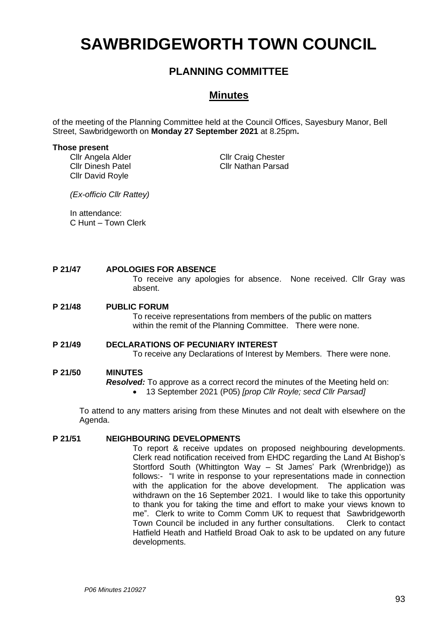# **SAWBRIDGEWORTH TOWN COUNCIL**

# **PLANNING COMMITTEE**

# **Minutes**

of the meeting of the Planning Committee held at the Council Offices, Sayesbury Manor, Bell Street, Sawbridgeworth on **Monday 27 September 2021** at 8.25pm**.**

#### **Those present**

Cllr Angela Alder Cllr Dinesh Patel Cllr David Royle

Cllr Craig Chester Cllr Nathan Parsad

*(Ex-officio Cllr Rattey)*

In attendance: C Hunt – Town Clerk

#### **P 21/47 APOLOGIES FOR ABSENCE**

To receive any apologies for absence. None received. Cllr Gray was absent.

#### **P 21/48 PUBLIC FORUM**

To receive representations from members of the public on matters within the remit of the Planning Committee. There were none.

### **P 21/49 DECLARATIONS OF PECUNIARY INTEREST**

To receive any Declarations of Interest by Members. There were none.

#### **P 21/50 MINUTES**

*Resolved:* To approve as a correct record the minutes of the Meeting held on:

• 13 September 2021 (P05) *[prop Cllr Royle; secd Cllr Parsad]*

To attend to any matters arising from these Minutes and not dealt with elsewhere on the Agenda.

#### **P 21/51 NEIGHBOURING DEVELOPMENTS**

To report & receive updates on proposed neighbouring developments. Clerk read notification received from EHDC regarding the Land At Bishop's Stortford South (Whittington Way – St James' Park (Wrenbridge)) as follows:- "I write in response to your representations made in connection with the application for the above development. The application was withdrawn on the 16 September 2021. I would like to take this opportunity to thank you for taking the time and effort to make your views known to me". Clerk to write to Comm Comm UK to request that Sawbridgeworth Town Council be included in any further consultations. Clerk to contact Hatfield Heath and Hatfield Broad Oak to ask to be updated on any future developments.